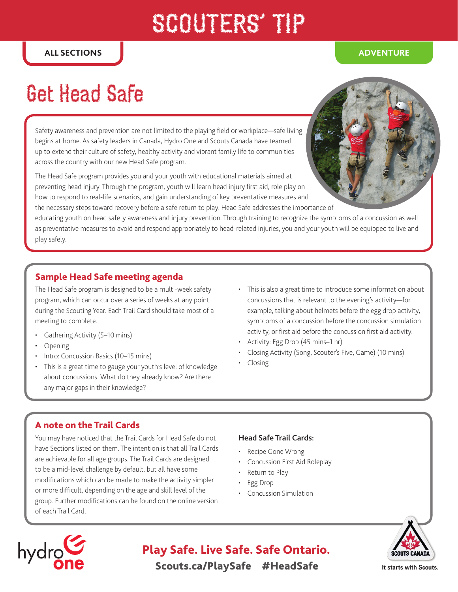# SCOUTERS' TP

## Get Head Safe

Safety awareness and prevention are not limited to the playing field or workplace—safe living begins at home. As safety leaders in Canada, Hydro One and Scouts Canada have teamed up to extend their culture of safety, healthy activity and vibrant family life to communities across the country with our new Head Safe program.

The Head Safe program provides you and your youth with educational materials aimed at preventing head injury. Through the program, youth will learn head injury first aid, role play on how to respond to real-life scenarios, and gain understanding of key preventative measures and the necessary steps toward recovery before a safe return to play. Head Safe addresses the importance of

educating youth on head safety awareness and injury prevention. Through training to recognize the symptoms of a concussion as well as preventative measures to avoid and respond appropriately to head-related injuries, you and your youth will be equipped to live and play safely.

#### Sample Head Safe meeting agenda

The Head Safe program is designed to be a multi-week safety program, which can occur over a series of weeks at any point during the Scouting Year. Each Trail Card should take most of a meeting to complete.

- Gathering Activity (5-10 mins)
- Opening
- Intro: Concussion Basics (10–15 mins)
- This is a great time to gauge your youth's level of knowledge about concussions. What do they already know? Are there any major gaps in their knowledge?
- This is also a great time to introduce some information about concussions that is relevant to the evening's activity—for example, talking about helmets before the egg drop activity, symptoms of a concussion before the concussion simulation activity, or first aid before the concussion first aid activity.
- Activity: Egg Drop (45 mins–1 hr)
- Closing Activity (Song, Scouter's Five, Game) (10 mins)
- Closing

#### A note on the Trail Cards

You may have noticed that the Trail Cards for Head Safe do not have Sections listed on them. The intention is that all Trail Cards are achievable for all age groups. The Trail Cards are designed to be a mid-level challenge by default, but all have some modifications which can be made to make the activity simpler or more difficult, depending on the age and skill level of the group. Further modifications can be found on the online version of each Trail Card.

#### **Head Safe Trail Cards:**

- Recipe Gone Wrong
- Concussion First Aid Roleplay
- Return to Play
- Egg Drop
- Concussion Simulation





### Scouts.ca/PlaySafe #HeadSafe Play Safe. Live Safe. Safe Ontario.

**It starts with Scouts.**